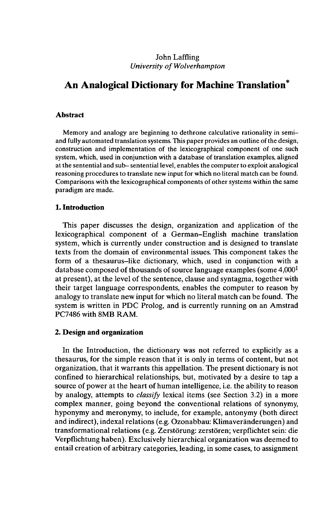### John Laffling *University of Wolverhampton*

# **An Analogical Dictionary for Machine Translation<sup>4</sup>**

#### **Abstract**

Memory and analogy are beginning to dethrone calculative rationality in semiand fully automated translation systems. This paper provides an outline of the design, construction and implementation of the lexicographical component of one such system, which, used in conjunction with a database of translation examples, aligned at the sentential and sub-sentential level, enables the computer to exploit analogical reasoning procedures to translate new input for which no literal match can be found. Comparisons with the lexicographical components of other systems within the same paradigm are made.

### **1. Introduction**

This paper discusses the design, organization and application of the lexicographical component of a German-English machine translation system, which is currently under construction and is designed to translate texts from the domain of environmental issues. This component takes the form of a thesaurus-like dictionary, which, used in conjunction with a database composed of thousands of source language examples (some  $4,000<sup>1</sup>$ ) at present), at the level of the sentence, clause and syntagma, together with their target language correspondents, enables the computer to reason by analogy to translate new input for which no literal match can be found. The system is written in PDC Prolog, and is currently running on an Amstrad PC7486 with 8MB RAM.

#### **2. Design and organization**

In the Introduction, the dictionary was not referred to explicitly as a thesaurus, for the simple reason that it is only in terms of content, but not organization, that it warrants this appellation. The present dictionary is not confined to hierarchical relationships, but, motivated by a desire to tap a source of power at the heart of human intelligence, i.e. the ability to reason by analogy, attempts to *classify* lexical items (see Section 3.2) in a more complex manner, going beyond the conventional relations of synonymy, hyponymy and meronymy, to include, for example, antonymy (both direct and indirect), indexai relations (e.g. Ozonabbau: Klimaveränderungen) and transformational relations (e.g. Zerstörung: zerstören; verpflichtet sein: die Verpflichtung haben). Exclusively hierarchical organization was deemed to entail creation of arbitrary categories, leading, in some cases, to assignment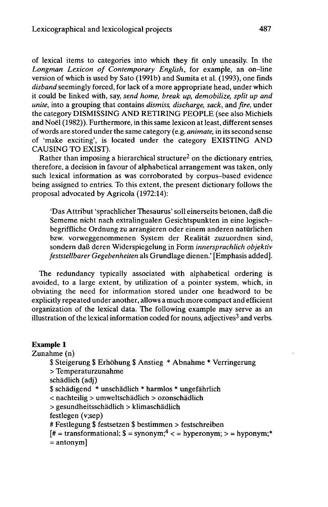of lexical items to categories into which they fit only uneasily. In the *Longman Lexicon of Contemporary English,* for example, an on-line version of which is used by Sato (1991b) and Sumita et al. (1993), one finds *disband* seemingly forced, for lack of a more appropriate head, under which it could be linked with, say, *send home, break up, demobilize, split up and unite,* into a grouping that contains *dismiss, discharge, sack,* and *fire,* under the category DISMISSING AND RETIRING PEOPLE (see also Michiels and Noël (1982)). Furthermore, in this same lexicon at least, differentsenses ofwords are stored under the same category (e.g. *animate,* in its second sense of 'make exciting', is located under the category EXISTING AND CAUSING TO EXIST).

Rather than imposing a hierarchical structure<sup>2</sup> on the dictionary entries, therefore, a decision in favour of alphabetical arrangement was taken, only such lexical information as was corroborated by corpus-based evidence being assigned to entries. To this extent, the present dictionary follows the proposal advocated by Agricola (1972:14):

'Das Attribut 'sprachlicher Thesaurus' soll einerseits betonen, daß die Sememe nicht nach extralingualen Gesichtspunkten in eine logischbegriffliche Ordnung zu arrangieren oder einem anderen natürlichen bzw. vorweggenommenen System der Realität zuzuordnen sind, sondern daß deren Widerspiegelung in Form *innersprachlich objektiv feststellbarer Gegebenheiten* als Grundlage dienen.' [Emphasis added].

The redundancy typically associated with alphabetical ordering is avoided, to a large extent, by utilization of a pointer system, which, in obviating the need for information stored under one headword to be explicitly repeated under another, allows a much more compact and efficient organization of the lexical data. The following example may serve as an illustration of the lexical information coded for nouns, adjectives<sup>3</sup> and verbs.

#### **Example 1**

Zunahme (n)

\$ Steigerung \$ Erhöhung \$ Anstieg \* Abnahme \* Verringerung > Temperaturzunahme schädlich (adj) \$ schädigend \* unschädlich \* harmlos \* ungefährlich < nachteilig > umweltschädlich > ozonschädlich > gesundheitsschädlich > klimaschädlich festlegen (v;sep) # Festlegung \$ festsetzen \$ bestimmen > festschreiben  $[# = transformational;$  \$ = synonym;<sup>4</sup> < = hyperonym; > = hyponym;<sup>\*</sup>  $=$  antonym]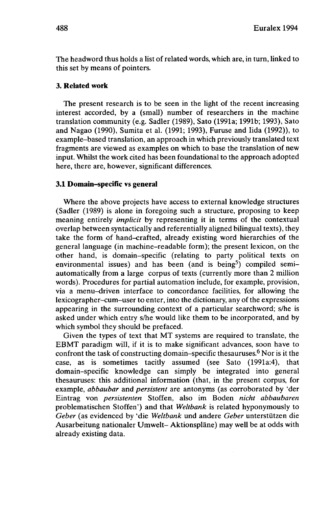The headword thus holds a list of related words, which are, in turn, linked to this set by means of pointers.

### **3. Related work**

The present research is to be seen in the light of the recent increasing interest accorded, by a (small) number of researchers in the machine translation community (e.g. Sadler (1989), Sato (1991a; 1991b; 1993), Sato and Nagao (1990), Sumita et al. (1991; 1993), Furuse and Iida (1992)), to example-based translation, an approach in which previously translated text fragments are viewed as examples on which to base the translation of new input. Whilst the work cited has been foundational to the approach adopted here, there are, however, significant differences.

### **3.1 Domain-specific vs general**

Where the above projects have access to external knowledge structures (Sadler (1989) is alone in foregoing such a structure, proposing to keep meaning entirely *implicit* by representing it in terms of the contextual overlap between syntactically and referentially aligned bilingual texts), they take the form of hand-crafted, already existing word hierarchies of the general language (in machine-readable form); the present lexicon, on the other hand, is domain-specific (relating to party political texts on environmental issues) and has been (and is being<sup>5</sup>) compiled semiautomatically from a large corpus of texts (currently more than 2 million words). Procedures for partial automation include, for example, provision, via a menu-driven interface to concordance facilities, for allowing the lexicographer-cum-user to enter, into the dictionary, any of the expressions appearing in the surrounding context of a particular searchword; s/he is asked under which entry s/he would like them to be incorporated, and by which symbol they should be prefaced.

Given the types of text that MT systems are required to translate, the EBMT paradigm will, if it is to make significant advances, soon have to confront the task of constructing domain–specific thesauruses.<sup>6</sup> Nor is it the case, as is sometimes tacitly assumed (see Sato (1991a:4), that domain-specific knowledge can simply be integrated into general thesauruses: this additional information (that, in the present corpus, for example, *abbaubar* and *persistent* are antonyms (as corroborated by 'der Eintrag von *persistenten* Stoffen, also im Boden *nicht abbaubaren* problematischen Stoffen') and that *Weltbank* is related hyponymously to *Geber* (as evidenced by 'die *Weltbank* und andere *Geber* unterstützen die Ausarbeitung nationaler Umwelt- Aktionspläne) may well be at odds with already existing data.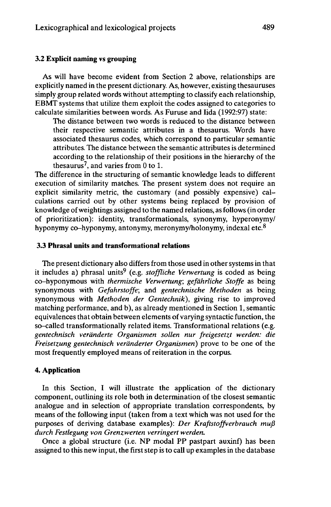#### **3.2 Explicit naming** vs **grouping**

As will have become evident from Section 2 above, relationships are explicitly named in the present dictionary. As, however, existing thesauruses simply group related words without attempting to classify each relationship, EBMT systems that utilize them exploit the codes assigned to categories to calculate similarities between words. As Furuse and Iida (1992:97) state:

The distance between two words is reduced to the distance between their respective semantic attributes in a thesaurus. Words have associated thesaurus codes, which correspond to particular semantic attributes. The distance between the semantic attributes is determined according to the relationship of their positions in the hierarchy of the thesaurus<sup>7</sup>, and varies from  $\overline{0}$  to 1.

The difference in the structuring of semantic knowledge leads to different execution of similarity matches. The present system does not require an explicit similarity metric, the customary (and possibly expensive) calculations carried out by other systems being replaced by provision of knowledge ofweightings assigned to the named relations, asfollows (in order of prioritization): identity, transformationals, synonymy, hyperonymy/ hyponymy co-hyponymy, antonymy, meronymy/holonymy, indexai etc.<sup>8</sup>

### **3.3 Phrasal units and transformational relations**

The present dictionary also differs from those used in other systems in that it includes a) phrasal units<sup>9</sup> (e.g. *stoffliche Verwertung* is coded as being co-hyponymous with *thermische Verwertung; gefährliche Stoffe* as being synonymous with *Gefahrstoffe;* and *gentechnische Methoden* as being synonymous with *Methoden der Gentechnik),* giving rise to improved matching performance, and b), as already mentioned in Section 1, semantic equivalences that obtain between elements of varying syntactic function, the so-called transformationally related items. Transformational relations (e.g. *gentechnisch veränderte Organismen sollen nur freigesetzt werden: die Freisetzung gentechnisch veränderter Organismen)* prove to be one of the most frequently employed means of reiteration in the corpus.

#### 4. **Application**

In this Section, I will illustrate the application of the dictionary component, outlining its role both in determination of the closest semantic analogue and in selection of appropriate translation correspondents, by means of the following input (taken from a text which was not used for the purposes of deriving database examples): *Der Kraftstoffverbrauch muß durch Festlegung von Grenzwerten verringert werden.*

Once a global structure (i.e. NP modal PP pastpart auxinf) has been assigned to this new input, the first step is to call up examples in the database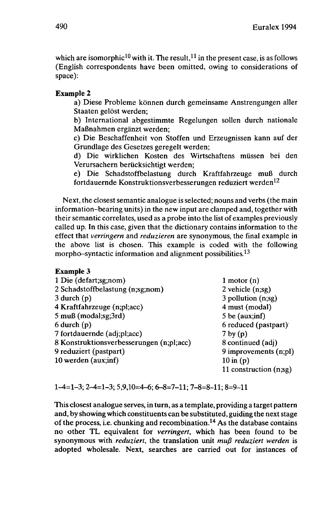which are isomorphic<sup>10</sup> with it. The result,<sup>11</sup> in the present case, is as follows (English correspondents have been omitted, owing to considerations of space):

### **Example 2**

a) Diese Probleme können durch gemeinsame Anstrengungen aller Staaten gelöst werden;

b) International abgestimmte Regelungen sollen durch nationale Maßnahmen ergänzt werden;

c) Die Beschaffenheit von Stoffen und Erzeugnissen kann auf der Grundlage des Gesetzes geregelt werden;

d) Die wirklichen Kosten des Wirtschaftens müssen bei den Verursachern berücksichtigt werden;

e) Die Schadstoffbelastung durch Kraftfahrzeuge muß durch fortdauernde Konstruktionsverbesserungen reduziert werden<sup>12</sup>

Next, the dosest semantic analogue is selected; nouns and verbs (the main information-bearing units) in the new input are clamped and, together with their semantic correlates, used as a probe into the list of examples previously called up. In this case, given that the dictionary contains information to the effect that *verringern* and *reduzieren* are synonymous, the final example in the above list is chosen. This example is coded with the following morpho–syntactic information and alignment possibilities.<sup>13</sup>

### **Example 3**

| 1 Die (defart;sg;nom)                    | 1 motor $(n)$            |
|------------------------------------------|--------------------------|
| 2 Schadstoffbelastung (n;sg;nom)         | 2 vehicle $(n;sg)$       |
| $3$ durch $(p)$                          | $3$ pollution $(n;sg)$   |
| 4 Kraftfahrzeuge (n;pl;acc)              | 4 must (modal)           |
| $5 \text{ muB}$ (modal;sg; $3rd$ )       | $5$ be (aux;inf)         |
| $6$ durch $(p)$                          | 6 reduced (pastpart)     |
| 7 fortdauernde (adj;pl;acc)              | $7$ by $(p)$             |
| 8 Konstruktionsverbesserungen (n;pl;acc) | 8 continued (adj)        |
| 9 reduziert (pastpart)                   | 9 improvements $(n;p)$   |
| 10 werden (aux;inf)                      | $10$ in $(p)$            |
|                                          | 11 construction $(n;sg)$ |

1-4=1-3; *2-A=\-y,* 5,9,10=4-6; 6-8=7-11; 7-8=8-11; 8=9-11

This closest analogue serves, in turn, as a template, providing a target pattern and, by showing which constituents can be substituted, guiding the next stage of the process, i.e. chunking and recombination.<sup>14</sup> As the database contains no other TL equivalent for *verringert,* which has been found to be synonymous with *reduziert,* the translation unit *muß reduziert werden* is adopted wholesale. Next, searches are carried out for instances of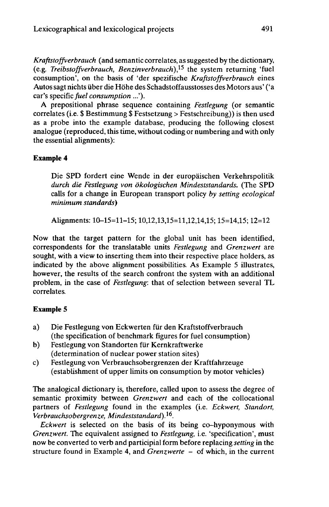*Kraftstoffverbrauch* (and semantic correlates, assuggested by the dictionary, (e.g. *Treibstoffverbrauch, Benzinverbrauch)}^* the system returning 'fuel consumption', on the basis of 'der spezifische *Kraftstoffverbrauch* eines Autossagt nichts über die Höhe des Schadstoffausstosses des Motors aus' ('a car's specific *fuel consumption* ...').

A prepositional phrase sequence containing *Festlegung* (or semantic correlates (i.e. \$ Bestimmung \$ Festsetzung > Festschreibung)) is then used as a probe into the example database, producing the following closest analogue (reproduced, this time, without coding or numbering and with only the essential alignments):

## **Example 4**

Die SPD fordert eine Wende in der europäischen Verkehrspolitik *durch die Festlegung von ökologischen Mindeststandards.* (The SPD calls for a change in European transport policy *by setting ecological minimum standards)*

Alignments: 10-15=11-15; 10,12,13,15=11,12,14,15; 15=14,15; 12=12

Now that the target pattern for the global unit has been identified, correspondents for the translatable units *Festlegung* and *Grenzwert* are sought, with a view to inserting them into their respective place holders, as indicated by the above alignment possibilities. As Example 5 illustrates, however, the results of the search confront the system with an additional problem, in the case of *Festlegung:* that of selection between several TL correlates.

## **Example 5**

- a) Die Festlegung von Eckwerten für den Kraftstoffverbrauch (the specification of benchmark figures for fuel consumption)
- b) Festlegung von Standorten für Kernkraftwerke (determination of nuclear power station sites)
- c) Festlegung von Verbrauchsobergrenzen der Kraftfahrzeuge (establishment of upper limits on consumption by motor vehicles)

The analogical dictionary is, therefore, called upon to assess the degree of semantic proximity between *Grenzwert* and each of the collocational partners of *Festlegung* found in the examples (i.e. *Eckwert, Standort, Verbrauchsobergrenze, Mindeststandard)*. 16 .

*Eckwert* is selected on the basis of its being co-hyponymous with *Grenzwert.* The equivalent assigned to *Festlegung,* i.e. 'specification', must now be converted to verb and participial form before replacing *setting* in the structure found in Example 4, and *Grenzwerte -* of which, in the current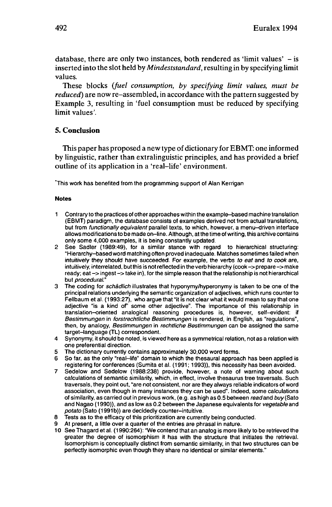database, there are only two instances, both rendered as 'limit values'  $-$  is inserted into the slot held by *Mindeststandard,* resulting in by specifying limit values.

These blocks *(fuel consumption, by specifying limit values, must be reduced)* are now re-assembled, in accordance with the pattern suggested by Example 3, resulting in 'fuel consumption must be reduced by specifying limit values'.

### **5. Conclusion**

This paper has proposed a new type of dictionary for EBMT: one informed by linguistic, rather than extralinguistic principles, and has provided a brief outline of its application in a 'real-life' environment.

'This work has benefited from the programming support of Alan Kerrigan

#### **Notes**

- <sup>1</sup> Contrary to the practices of other approaches within the example-based machine translation (EBMT) paradigm, the database consists of examples derived not from actual translations, but from functionally equivalent parallel texts, to which, however, a menu-driven interface allows modifications to be made on-line. Although, at the time of writing, this archive contains only some 4,000 examples, it is being constantly updated.
- 2 See Sadler (1989:49), for a similar stance with regard to hierarchical structuring: "Hierarchy-based word matching often proved inadequate. Matches sometimes failed when intuitively they should have succeeded. For example, the verbs to eat and to cook are, intuitively, interrelated, but this is not reflected in the verb hierarchy (cook -> prepare -> make ready; eat -> ingest-> take in), for the simple reason that the relationship is not hierarchical but procedural."
- 3 The coding for schädlich illustrates that hyponymy/hyperonymy is taken to be one of the principal relations underlying the semantic organization of adjectives, which runs counter to Fellbaum et al. (1993:27), who argue that "it is not clear what it would mean to say that one adjective "is a kind of" some other adjective". The importance of this relationship in translation-oriented analogical reasoning procedures is, however, self-evident: if Bestimmungen in forstrechtliche Bestimmungen is rendered, in English, as "regulations", then, by analogy, Bestimmungen in rechtliche Bestimmungen can be assigned the same target-language (TL) correspondent.
- 4 Synonymy, it should be noted, is viewed here as a symmetrical relation, not as a relation with one preferential direction.
- 5 The dictionary currently contains approximately 30,000 word forms.
- 6 So far, as the only "real-life" domain to which the thesaural approach has been applied is registering for conferences (Sumita et al. (1991 ; 1993)), this necessity has been avoided.
- 7 Sedelow and Sedelow (1988:238) provide, however, a note of warning about such calculations of semantic similarity, which, in effect, involve thesaurus tree traversais. Such traversais, they point out, "are not consistent, nor are they always reliable indicators of word association, even though in many instances they can be used". Indeed, some calculations of similarity, as carried out in previous work, (e.g. as high as 0.5 between read and buy (Sato and Nagao (1990)), and as low as 0.2 between the Japanese equivalents for vegetable and potato (Sato (1991b)) are decidedly counter-intuitive.
- 8 Tests as to the efficacy of this prioritization are currently being conducted.
- 9 At present, a little over a quarter of the entries are phrasal in nature.
- 10 See Thagard et al. (1990:264): "We contend that an analog is more likely to be retrieved the greater the degree of isomorphism it has with the structure that initiates the retrieval. Isomorphism is conceptually distinct from semantic similarity, in that two structures can be perfectly isomorphic even though they share no identical or similar elements."